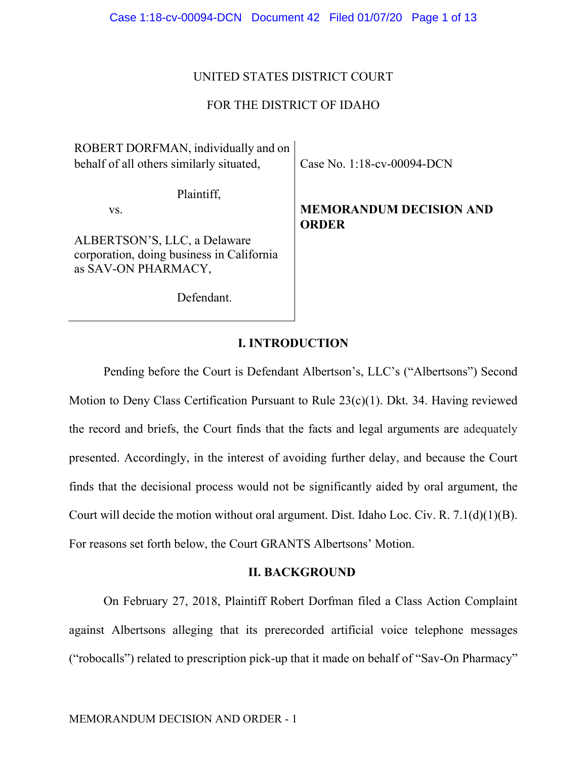## UNITED STATES DISTRICT COURT

## FOR THE DISTRICT OF IDAHO

ROBERT DORFMAN, individually and on behalf of all others similarly situated,

Case No. 1:18-cv-00094-DCN

Plaintiff,

vs.

ALBERTSON'S, LLC, a Delaware corporation, doing business in California as SAV-ON PHARMACY,

Defendant.

# **MEMORANDUM DECISION AND ORDER**

## **I. INTRODUCTION**

Pending before the Court is Defendant Albertson's, LLC's ("Albertsons") Second Motion to Deny Class Certification Pursuant to Rule 23(c)(1). Dkt. 34. Having reviewed the record and briefs, the Court finds that the facts and legal arguments are adequately presented. Accordingly, in the interest of avoiding further delay, and because the Court finds that the decisional process would not be significantly aided by oral argument, the Court will decide the motion without oral argument. Dist. Idaho Loc. Civ. R. 7.1(d)(1)(B). For reasons set forth below, the Court GRANTS Albertsons' Motion.

## **II. BACKGROUND**

On February 27, 2018, Plaintiff Robert Dorfman filed a Class Action Complaint against Albertsons alleging that its prerecorded artificial voice telephone messages ("robocalls") related to prescription pick-up that it made on behalf of "Sav-On Pharmacy"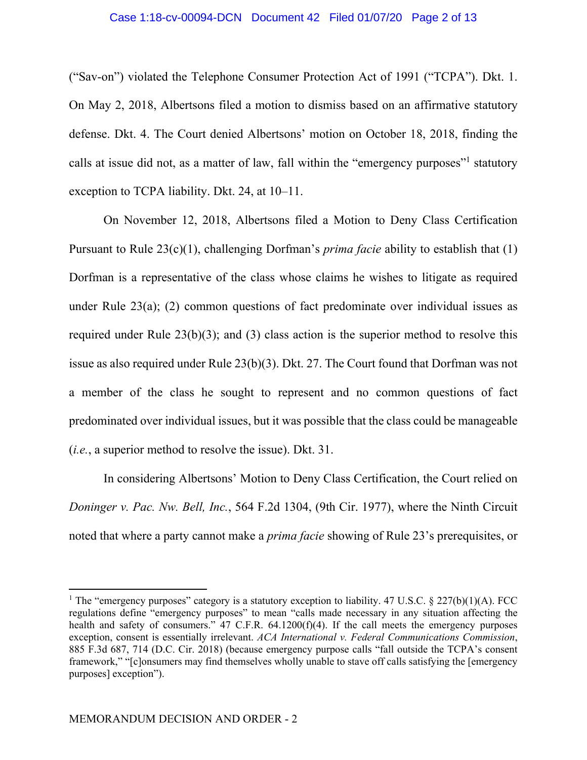### Case 1:18-cv-00094-DCN Document 42 Filed 01/07/20 Page 2 of 13

("Sav-on") violated the Telephone Consumer Protection Act of 1991 ("TCPA"). Dkt. 1. On May 2, 2018, Albertsons filed a motion to dismiss based on an affirmative statutory defense. Dkt. 4. The Court denied Albertsons' motion on October 18, 2018, finding the calls at issue did not, as a matter of law, fall within the "emergency purposes"<sup>1</sup> statutory exception to TCPA liability. Dkt. 24, at 10–11.

On November 12, 2018, Albertsons filed a Motion to Deny Class Certification Pursuant to Rule 23(c)(1), challenging Dorfman's *prima facie* ability to establish that (1) Dorfman is a representative of the class whose claims he wishes to litigate as required under Rule 23(a); (2) common questions of fact predominate over individual issues as required under Rule  $23(b)(3)$ ; and (3) class action is the superior method to resolve this issue as also required under Rule 23(b)(3). Dkt. 27. The Court found that Dorfman was not a member of the class he sought to represent and no common questions of fact predominated over individual issues, but it was possible that the class could be manageable (*i.e.*, a superior method to resolve the issue). Dkt. 31.

In considering Albertsons' Motion to Deny Class Certification, the Court relied on *Doninger v. Pac. Nw. Bell, Inc.*, 564 F.2d 1304, (9th Cir. 1977), where the Ninth Circuit noted that where a party cannot make a *prima facie* showing of Rule 23's prerequisites, or

 $\overline{a}$ 

<sup>&</sup>lt;sup>1</sup> The "emergency purposes" category is a statutory exception to liability. 47 U.S.C. § 227(b)(1)(A). FCC regulations define "emergency purposes" to mean "calls made necessary in any situation affecting the health and safety of consumers." 47 C.F.R. 64.1200(f)(4). If the call meets the emergency purposes exception, consent is essentially irrelevant. *ACA International v. Federal Communications Commission*, 885 F.3d 687, 714 (D.C. Cir. 2018) (because emergency purpose calls "fall outside the TCPA's consent framework," "[c]onsumers may find themselves wholly unable to stave off calls satisfying the [emergency purposes] exception").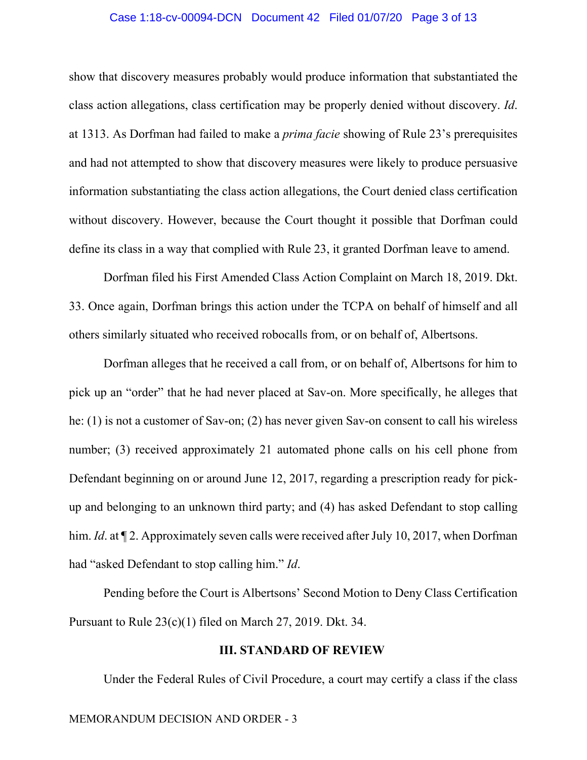### Case 1:18-cv-00094-DCN Document 42 Filed 01/07/20 Page 3 of 13

show that discovery measures probably would produce information that substantiated the class action allegations, class certification may be properly denied without discovery. *Id*. at 1313. As Dorfman had failed to make a *prima facie* showing of Rule 23's prerequisites and had not attempted to show that discovery measures were likely to produce persuasive information substantiating the class action allegations, the Court denied class certification without discovery. However, because the Court thought it possible that Dorfman could define its class in a way that complied with Rule 23, it granted Dorfman leave to amend.

Dorfman filed his First Amended Class Action Complaint on March 18, 2019. Dkt. 33. Once again, Dorfman brings this action under the TCPA on behalf of himself and all others similarly situated who received robocalls from, or on behalf of, Albertsons.

Dorfman alleges that he received a call from, or on behalf of, Albertsons for him to pick up an "order" that he had never placed at Sav-on. More specifically, he alleges that he: (1) is not a customer of Sav-on; (2) has never given Sav-on consent to call his wireless number; (3) received approximately 21 automated phone calls on his cell phone from Defendant beginning on or around June 12, 2017, regarding a prescription ready for pickup and belonging to an unknown third party; and (4) has asked Defendant to stop calling him. *Id.* at  $\P$  2. Approximately seven calls were received after July 10, 2017, when Dorfman had "asked Defendant to stop calling him." *Id*.

Pending before the Court is Albertsons' Second Motion to Deny Class Certification Pursuant to Rule 23(c)(1) filed on March 27, 2019. Dkt. 34.

### **III. STANDARD OF REVIEW**

Under the Federal Rules of Civil Procedure, a court may certify a class if the class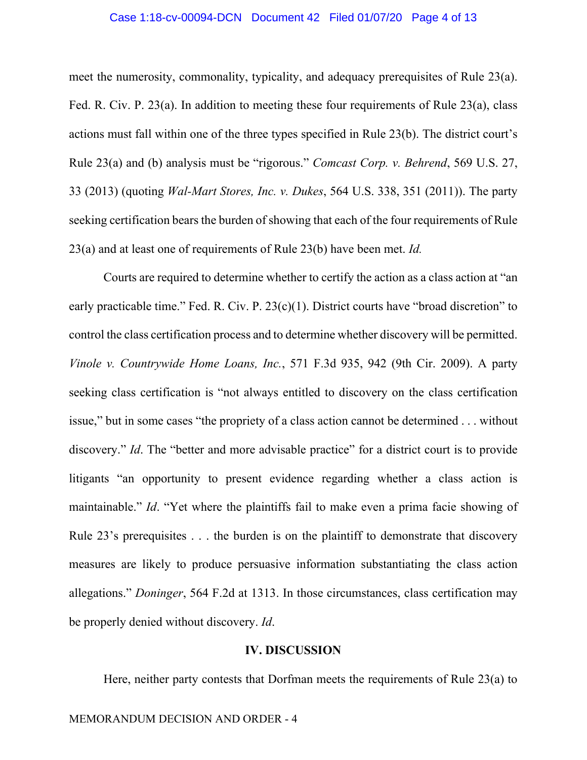### Case 1:18-cv-00094-DCN Document 42 Filed 01/07/20 Page 4 of 13

meet the numerosity, commonality, typicality, and adequacy prerequisites of Rule 23(a). Fed. R. Civ. P. 23(a). In addition to meeting these four requirements of Rule 23(a), class actions must fall within one of the three types specified in Rule 23(b). The district court's Rule 23(a) and (b) analysis must be "rigorous." *Comcast Corp. v. Behrend*, 569 U.S. 27, 33 (2013) (quoting *Wal-Mart Stores, Inc. v. Dukes*, 564 U.S. 338, 351 (2011)). The party seeking certification bears the burden of showing that each of the four requirements of Rule 23(a) and at least one of requirements of Rule 23(b) have been met. *Id.*

Courts are required to determine whether to certify the action as a class action at "an early practicable time." Fed. R. Civ. P. 23(c)(1). District courts have "broad discretion" to control the class certification process and to determine whether discovery will be permitted. *Vinole v. Countrywide Home Loans, Inc.*, 571 F.3d 935, 942 (9th Cir. 2009). A party seeking class certification is "not always entitled to discovery on the class certification issue," but in some cases "the propriety of a class action cannot be determined . . . without discovery." *Id*. The "better and more advisable practice" for a district court is to provide litigants "an opportunity to present evidence regarding whether a class action is maintainable." *Id*. "Yet where the plaintiffs fail to make even a prima facie showing of Rule 23's prerequisites . . . the burden is on the plaintiff to demonstrate that discovery measures are likely to produce persuasive information substantiating the class action allegations." *Doninger*, 564 F.2d at 1313. In those circumstances, class certification may be properly denied without discovery. *Id*.

### **IV. DISCUSSION**

Here, neither party contests that Dorfman meets the requirements of Rule 23(a) to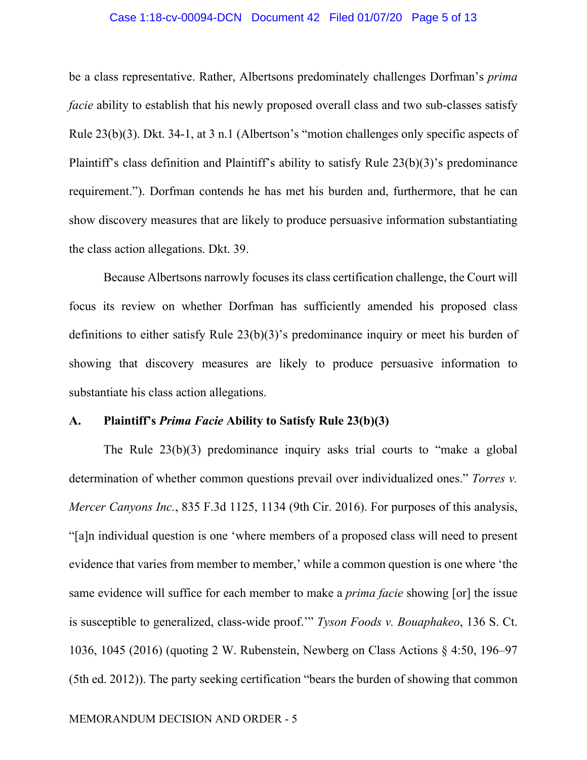### Case 1:18-cv-00094-DCN Document 42 Filed 01/07/20 Page 5 of 13

be a class representative. Rather, Albertsons predominately challenges Dorfman's *prima facie* ability to establish that his newly proposed overall class and two sub-classes satisfy Rule 23(b)(3). Dkt. 34-1, at 3 n.1 (Albertson's "motion challenges only specific aspects of Plaintiff's class definition and Plaintiff's ability to satisfy Rule 23(b)(3)'s predominance requirement."). Dorfman contends he has met his burden and, furthermore, that he can show discovery measures that are likely to produce persuasive information substantiating the class action allegations. Dkt. 39.

Because Albertsons narrowly focuses its class certification challenge, the Court will focus its review on whether Dorfman has sufficiently amended his proposed class definitions to either satisfy Rule 23(b)(3)'s predominance inquiry or meet his burden of showing that discovery measures are likely to produce persuasive information to substantiate his class action allegations.

### **A. Plaintiff's** *Prima Facie* **Ability to Satisfy Rule 23(b)(3)**

The Rule 23(b)(3) predominance inquiry asks trial courts to "make a global determination of whether common questions prevail over individualized ones." *Torres v. Mercer Canyons Inc.*, 835 F.3d 1125, 1134 (9th Cir. 2016). For purposes of this analysis, "[a]n individual question is one 'where members of a proposed class will need to present evidence that varies from member to member,' while a common question is one where 'the same evidence will suffice for each member to make a *prima facie* showing [or] the issue is susceptible to generalized, class-wide proof.'" *Tyson Foods v. Bouaphakeo*, 136 S. Ct. 1036, 1045 (2016) (quoting 2 W. Rubenstein, Newberg on Class Actions § 4:50, 196–97 (5th ed. 2012)). The party seeking certification "bears the burden of showing that common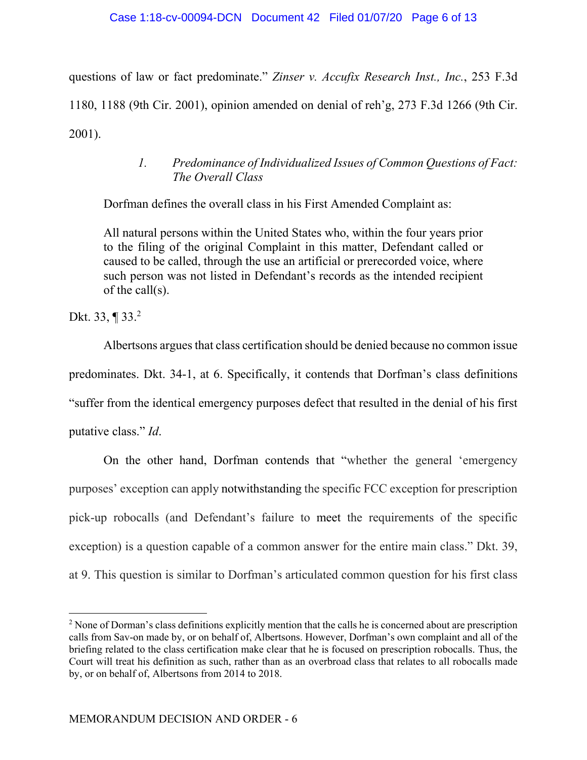questions of law or fact predominate." *Zinser v. Accufix Research Inst., Inc.*, 253 F.3d 1180, 1188 (9th Cir. 2001), opinion amended on denial of reh'g, 273 F.3d 1266 (9th Cir. 2001).

## *1. Predominance of Individualized Issues of Common Questions of Fact: The Overall Class*

Dorfman defines the overall class in his First Amended Complaint as:

All natural persons within the United States who, within the four years prior to the filing of the original Complaint in this matter, Defendant called or caused to be called, through the use an artificial or prerecorded voice, where such person was not listed in Defendant's records as the intended recipient of the call(s).

Dkt. 33, ¶ 33.<sup>2</sup>

 $\overline{a}$ 

Albertsons argues that class certification should be denied because no common issue predominates. Dkt. 34-1, at 6. Specifically, it contends that Dorfman's class definitions "suffer from the identical emergency purposes defect that resulted in the denial of his first putative class." *Id*.

On the other hand, Dorfman contends that "whether the general 'emergency purposes' exception can apply notwithstanding the specific FCC exception for prescription pick-up robocalls (and Defendant's failure to meet the requirements of the specific exception) is a question capable of a common answer for the entire main class." Dkt. 39, at 9. This question is similar to Dorfman's articulated common question for his first class

 $2$  None of Dorman's class definitions explicitly mention that the calls he is concerned about are prescription calls from Sav-on made by, or on behalf of, Albertsons. However, Dorfman's own complaint and all of the briefing related to the class certification make clear that he is focused on prescription robocalls. Thus, the Court will treat his definition as such, rather than as an overbroad class that relates to all robocalls made by, or on behalf of, Albertsons from 2014 to 2018.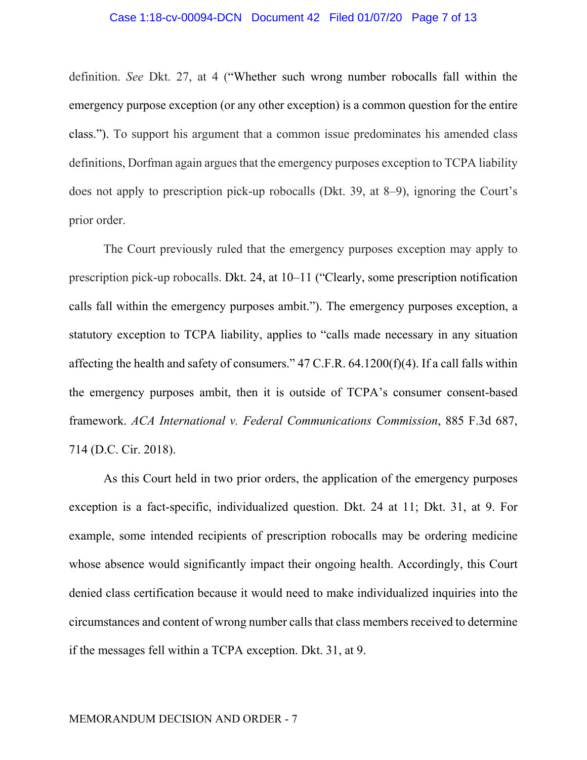### Case 1:18-cv-00094-DCN Document 42 Filed 01/07/20 Page 7 of 13

definition. *See* Dkt. 27, at 4 ("Whether such wrong number robocalls fall within the emergency purpose exception (or any other exception) is a common question for the entire class."). To support his argument that a common issue predominates his amended class definitions, Dorfman again argues that the emergency purposes exception to TCPA liability does not apply to prescription pick-up robocalls (Dkt. 39, at 8–9), ignoring the Court's prior order.

The Court previously ruled that the emergency purposes exception may apply to prescription pick-up robocalls. Dkt. 24, at 10–11 ("Clearly, some prescription notification calls fall within the emergency purposes ambit."). The emergency purposes exception, a statutory exception to TCPA liability, applies to "calls made necessary in any situation affecting the health and safety of consumers." 47 C.F.R. 64.1200(f)(4). If a call falls within the emergency purposes ambit, then it is outside of TCPA's consumer consent-based framework. *ACA International v. Federal Communications Commission*, 885 F.3d 687, 714 (D.C. Cir. 2018).

As this Court held in two prior orders, the application of the emergency purposes exception is a fact-specific, individualized question. Dkt. 24 at 11; Dkt. 31, at 9. For example, some intended recipients of prescription robocalls may be ordering medicine whose absence would significantly impact their ongoing health. Accordingly, this Court denied class certification because it would need to make individualized inquiries into the circumstances and content of wrong number calls that class members received to determine if the messages fell within a TCPA exception. Dkt. 31, at 9.

### MEMORANDUM DECISION AND ORDER - 7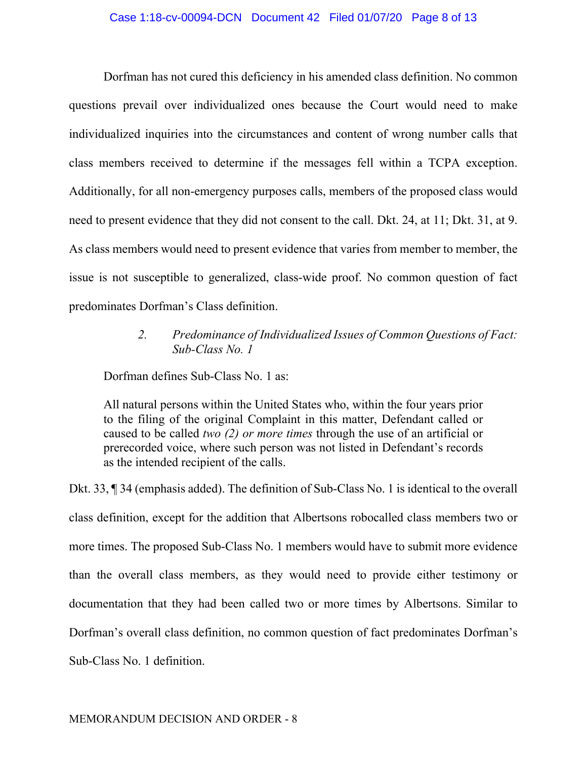### Case 1:18-cv-00094-DCN Document 42 Filed 01/07/20 Page 8 of 13

Dorfman has not cured this deficiency in his amended class definition. No common questions prevail over individualized ones because the Court would need to make individualized inquiries into the circumstances and content of wrong number calls that class members received to determine if the messages fell within a TCPA exception. Additionally, for all non-emergency purposes calls, members of the proposed class would need to present evidence that they did not consent to the call. Dkt. 24, at 11; Dkt. 31, at 9. As class members would need to present evidence that varies from member to member, the issue is not susceptible to generalized, class-wide proof. No common question of fact predominates Dorfman's Class definition.

> *2. Predominance of Individualized Issues of Common Questions of Fact: Sub-Class No. 1*

Dorfman defines Sub-Class No. 1 as:

All natural persons within the United States who, within the four years prior to the filing of the original Complaint in this matter, Defendant called or caused to be called *two (2) or more times* through the use of an artificial or prerecorded voice, where such person was not listed in Defendant's records as the intended recipient of the calls.

Dkt. 33, ¶ 34 (emphasis added). The definition of Sub-Class No. 1 is identical to the overall class definition, except for the addition that Albertsons robocalled class members two or more times. The proposed Sub-Class No. 1 members would have to submit more evidence than the overall class members, as they would need to provide either testimony or documentation that they had been called two or more times by Albertsons. Similar to Dorfman's overall class definition, no common question of fact predominates Dorfman's Sub-Class No. 1 definition.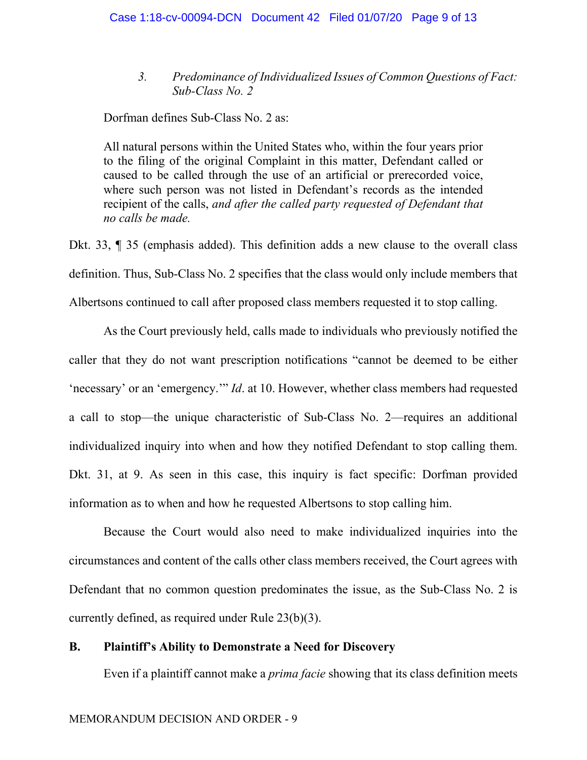*3. Predominance of Individualized Issues of Common Questions of Fact: Sub-Class No. 2* 

Dorfman defines Sub-Class No. 2 as:

All natural persons within the United States who, within the four years prior to the filing of the original Complaint in this matter, Defendant called or caused to be called through the use of an artificial or prerecorded voice, where such person was not listed in Defendant's records as the intended recipient of the calls, *and after the called party requested of Defendant that no calls be made.*

Dkt. 33, ¶ 35 (emphasis added). This definition adds a new clause to the overall class definition. Thus, Sub-Class No. 2 specifies that the class would only include members that Albertsons continued to call after proposed class members requested it to stop calling.

As the Court previously held, calls made to individuals who previously notified the caller that they do not want prescription notifications "cannot be deemed to be either 'necessary' or an 'emergency.'" *Id*. at 10. However, whether class members had requested a call to stop—the unique characteristic of Sub-Class No. 2—requires an additional individualized inquiry into when and how they notified Defendant to stop calling them. Dkt. 31, at 9. As seen in this case, this inquiry is fact specific: Dorfman provided information as to when and how he requested Albertsons to stop calling him.

Because the Court would also need to make individualized inquiries into the circumstances and content of the calls other class members received, the Court agrees with Defendant that no common question predominates the issue, as the Sub-Class No. 2 is currently defined, as required under Rule 23(b)(3).

### **B. Plaintiff's Ability to Demonstrate a Need for Discovery**

Even if a plaintiff cannot make a *prima facie* showing that its class definition meets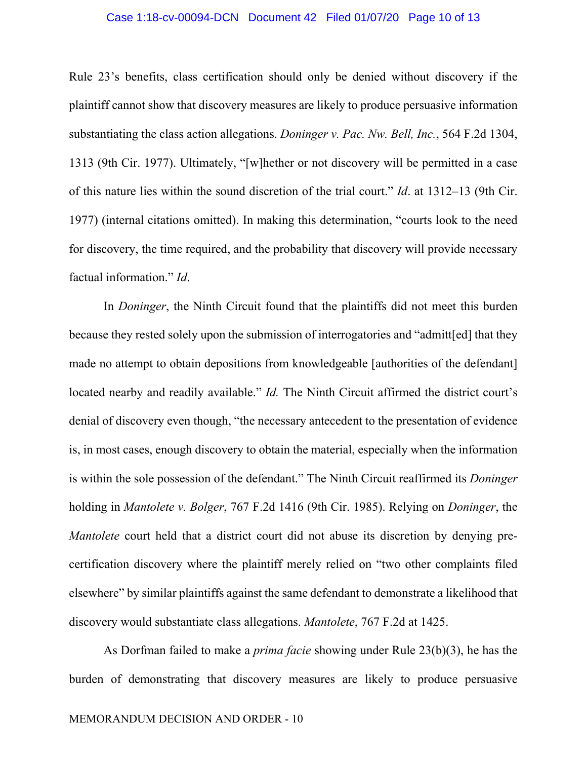### Case 1:18-cv-00094-DCN Document 42 Filed 01/07/20 Page 10 of 13

Rule 23's benefits, class certification should only be denied without discovery if the plaintiff cannot show that discovery measures are likely to produce persuasive information substantiating the class action allegations. *Doninger v. Pac. Nw. Bell, Inc.*, 564 F.2d 1304, 1313 (9th Cir. 1977). Ultimately, "[w]hether or not discovery will be permitted in a case of this nature lies within the sound discretion of the trial court." *Id*. at 1312–13 (9th Cir. 1977) (internal citations omitted). In making this determination, "courts look to the need for discovery, the time required, and the probability that discovery will provide necessary factual information." *Id*.

In *Doninger*, the Ninth Circuit found that the plaintiffs did not meet this burden because they rested solely upon the submission of interrogatories and "admitt[ed] that they made no attempt to obtain depositions from knowledgeable [authorities of the defendant] located nearby and readily available." *Id*. The Ninth Circuit affirmed the district court's denial of discovery even though, "the necessary antecedent to the presentation of evidence is, in most cases, enough discovery to obtain the material, especially when the information is within the sole possession of the defendant." The Ninth Circuit reaffirmed its *Doninger* holding in *Mantolete v. Bolger*, 767 F.2d 1416 (9th Cir. 1985). Relying on *Doninger*, the *Mantolete* court held that a district court did not abuse its discretion by denying precertification discovery where the plaintiff merely relied on "two other complaints filed elsewhere" by similar plaintiffs against the same defendant to demonstrate a likelihood that discovery would substantiate class allegations. *Mantolete*, 767 F.2d at 1425.

As Dorfman failed to make a *prima facie* showing under Rule 23(b)(3), he has the burden of demonstrating that discovery measures are likely to produce persuasive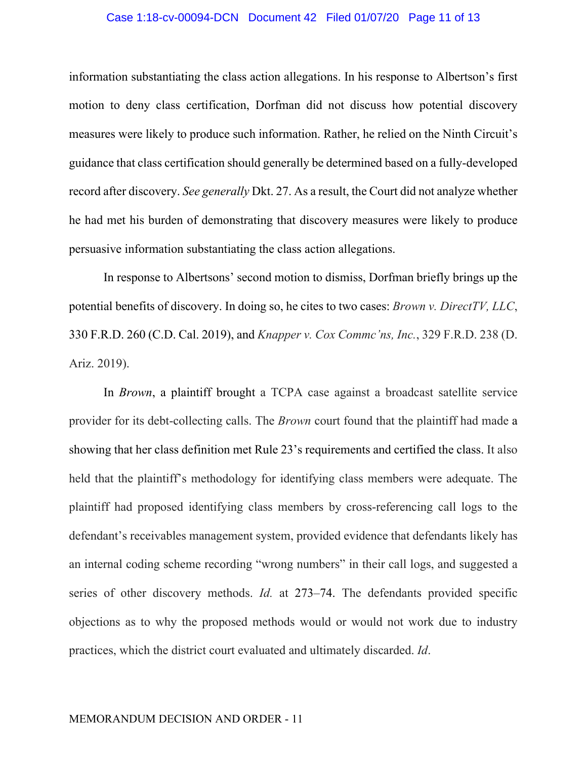### Case 1:18-cv-00094-DCN Document 42 Filed 01/07/20 Page 11 of 13

information substantiating the class action allegations. In his response to Albertson's first motion to deny class certification, Dorfman did not discuss how potential discovery measures were likely to produce such information. Rather, he relied on the Ninth Circuit's guidance that class certification should generally be determined based on a fully-developed record after discovery. *See generally* Dkt. 27. As a result, the Court did not analyze whether he had met his burden of demonstrating that discovery measures were likely to produce persuasive information substantiating the class action allegations.

In response to Albertsons' second motion to dismiss, Dorfman briefly brings up the potential benefits of discovery. In doing so, he cites to two cases: *Brown v. DirectTV, LLC*, 330 F.R.D. 260 (C.D. Cal. 2019), and *Knapper v. Cox Commc'ns, Inc.*, 329 F.R.D. 238 (D. Ariz. 2019).

In *Brown*, a plaintiff brought a TCPA case against a broadcast satellite service provider for its debt-collecting calls. The *Brown* court found that the plaintiff had made a showing that her class definition met Rule 23's requirements and certified the class. It also held that the plaintiff's methodology for identifying class members were adequate. The plaintiff had proposed identifying class members by cross-referencing call logs to the defendant's receivables management system, provided evidence that defendants likely has an internal coding scheme recording "wrong numbers" in their call logs, and suggested a series of other discovery methods. *Id.* at 273–74. The defendants provided specific objections as to why the proposed methods would or would not work due to industry practices, which the district court evaluated and ultimately discarded. *Id*.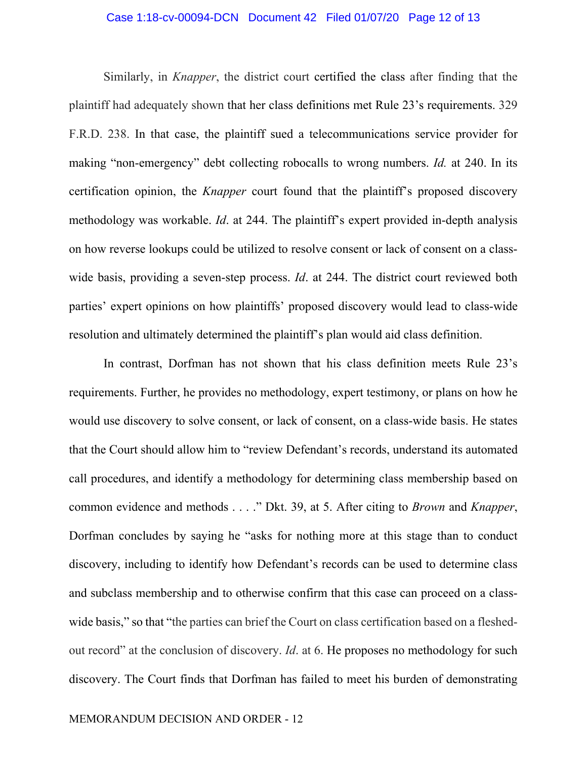### Case 1:18-cv-00094-DCN Document 42 Filed 01/07/20 Page 12 of 13

Similarly, in *Knapper*, the district court certified the class after finding that the plaintiff had adequately shown that her class definitions met Rule 23's requirements. 329 F.R.D. 238. In that case, the plaintiff sued a telecommunications service provider for making "non-emergency" debt collecting robocalls to wrong numbers. *Id.* at 240. In its certification opinion, the *Knapper* court found that the plaintiff's proposed discovery methodology was workable. *Id*. at 244. The plaintiff's expert provided in-depth analysis on how reverse lookups could be utilized to resolve consent or lack of consent on a classwide basis, providing a seven-step process. *Id*. at 244. The district court reviewed both parties' expert opinions on how plaintiffs' proposed discovery would lead to class-wide resolution and ultimately determined the plaintiff's plan would aid class definition.

In contrast, Dorfman has not shown that his class definition meets Rule 23's requirements. Further, he provides no methodology, expert testimony, or plans on how he would use discovery to solve consent, or lack of consent, on a class-wide basis. He states that the Court should allow him to "review Defendant's records, understand its automated call procedures, and identify a methodology for determining class membership based on common evidence and methods . . . ." Dkt. 39, at 5. After citing to *Brown* and *Knapper*, Dorfman concludes by saying he "asks for nothing more at this stage than to conduct discovery, including to identify how Defendant's records can be used to determine class and subclass membership and to otherwise confirm that this case can proceed on a classwide basis," so that "the parties can brief the Court on class certification based on a fleshedout record" at the conclusion of discovery. *Id*. at 6. He proposes no methodology for such discovery. The Court finds that Dorfman has failed to meet his burden of demonstrating